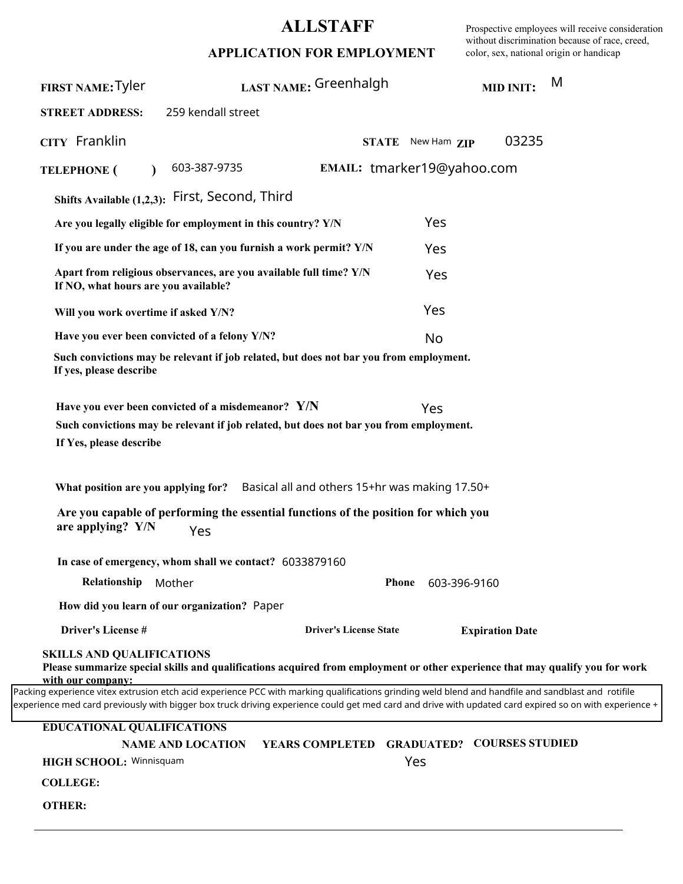## **ALLSTAFF**

Prospective employees will receive consideration without discrimination because of race, creed, color, sex, national origin or handicap

|  |  |  |  |  |  |  |  |  | APPLICATION FOR EMPLOYMENT |
|--|--|--|--|--|--|--|--|--|----------------------------|
|--|--|--|--|--|--|--|--|--|----------------------------|

| FIRST NAME: Tyler                                                                                                                                                                                                                                                                                             | LAST NAME: Greenhalgh                                                                                                                                                                                                                                                                                                            |                                            |                   | <b>MID INIT:</b>       | M |
|---------------------------------------------------------------------------------------------------------------------------------------------------------------------------------------------------------------------------------------------------------------------------------------------------------------|----------------------------------------------------------------------------------------------------------------------------------------------------------------------------------------------------------------------------------------------------------------------------------------------------------------------------------|--------------------------------------------|-------------------|------------------------|---|
| <b>STREET ADDRESS:</b>                                                                                                                                                                                                                                                                                        | 259 kendall street                                                                                                                                                                                                                                                                                                               |                                            |                   |                        |   |
| CITY Franklin                                                                                                                                                                                                                                                                                                 |                                                                                                                                                                                                                                                                                                                                  |                                            | STATE New Ham ZIP | 03235                  |   |
| <b>TELEPHONE</b> (                                                                                                                                                                                                                                                                                            | 603-387-9735                                                                                                                                                                                                                                                                                                                     | EMAIL: tmarker19@yahoo.com                 |                   |                        |   |
| Shifts Available (1,2,3): First, Second, Third                                                                                                                                                                                                                                                                |                                                                                                                                                                                                                                                                                                                                  |                                            |                   |                        |   |
|                                                                                                                                                                                                                                                                                                               | Are you legally eligible for employment in this country? Y/N                                                                                                                                                                                                                                                                     |                                            | Yes               |                        |   |
|                                                                                                                                                                                                                                                                                                               | If you are under the age of 18, can you furnish a work permit? Y/N                                                                                                                                                                                                                                                               |                                            | Yes               |                        |   |
| If NO, what hours are you available?                                                                                                                                                                                                                                                                          | Apart from religious observances, are you available full time? Y/N                                                                                                                                                                                                                                                               |                                            | Yes               |                        |   |
| Will you work overtime if asked Y/N?                                                                                                                                                                                                                                                                          |                                                                                                                                                                                                                                                                                                                                  |                                            | Yes               |                        |   |
| Have you ever been convicted of a felony Y/N?                                                                                                                                                                                                                                                                 |                                                                                                                                                                                                                                                                                                                                  |                                            | No                |                        |   |
| If yes, please describe                                                                                                                                                                                                                                                                                       | Such convictions may be relevant if job related, but does not bar you from employment.                                                                                                                                                                                                                                           |                                            |                   |                        |   |
| If Yes, please describe<br>are applying? Y/N                                                                                                                                                                                                                                                                  | Have you ever been convicted of a misdemeanor? Y/N<br>Such convictions may be relevant if job related, but does not bar you from employment.<br>What position are you applying for? Basical all and others 15+hr was making 17.50+<br>Are you capable of performing the essential functions of the position for which you<br>Yes |                                            | Yes               |                        |   |
|                                                                                                                                                                                                                                                                                                               | In case of emergency, whom shall we contact? 6033879160                                                                                                                                                                                                                                                                          |                                            |                   |                        |   |
| Relationship<br>Mother                                                                                                                                                                                                                                                                                        |                                                                                                                                                                                                                                                                                                                                  | <b>Phone</b>                               | 603-396-9160      |                        |   |
| How did you learn of our organization? Paper                                                                                                                                                                                                                                                                  |                                                                                                                                                                                                                                                                                                                                  |                                            |                   |                        |   |
| Driver's License #                                                                                                                                                                                                                                                                                            |                                                                                                                                                                                                                                                                                                                                  | <b>Driver's License State</b>              |                   | <b>Expiration Date</b> |   |
| <b>SKILLS AND QUALIFICATIONS</b><br>with our company:                                                                                                                                                                                                                                                         | Please summarize special skills and qualifications acquired from employment or other experience that may qualify you for work                                                                                                                                                                                                    |                                            |                   |                        |   |
| Packing experience vitex extrusion etch acid experience PCC with marking qualifications grinding weld blend and handfile and sandblast and rotifile<br>experience med card previously with bigger box truck driving experience could get med card and drive with updated card expired so on with experience + |                                                                                                                                                                                                                                                                                                                                  |                                            |                   |                        |   |
| <b>EDUCATIONAL QUALIFICATIONS</b>                                                                                                                                                                                                                                                                             |                                                                                                                                                                                                                                                                                                                                  |                                            |                   |                        |   |
|                                                                                                                                                                                                                                                                                                               | <b>NAME AND LOCATION</b>                                                                                                                                                                                                                                                                                                         | YEARS COMPLETED GRADUATED? COURSES STUDIED |                   |                        |   |
| HIGH SCHOOL: Winnisquam<br><b>COLLEGE:</b>                                                                                                                                                                                                                                                                    |                                                                                                                                                                                                                                                                                                                                  |                                            | Yes               |                        |   |
| <b>OTHER:</b>                                                                                                                                                                                                                                                                                                 |                                                                                                                                                                                                                                                                                                                                  |                                            |                   |                        |   |
|                                                                                                                                                                                                                                                                                                               |                                                                                                                                                                                                                                                                                                                                  |                                            |                   |                        |   |